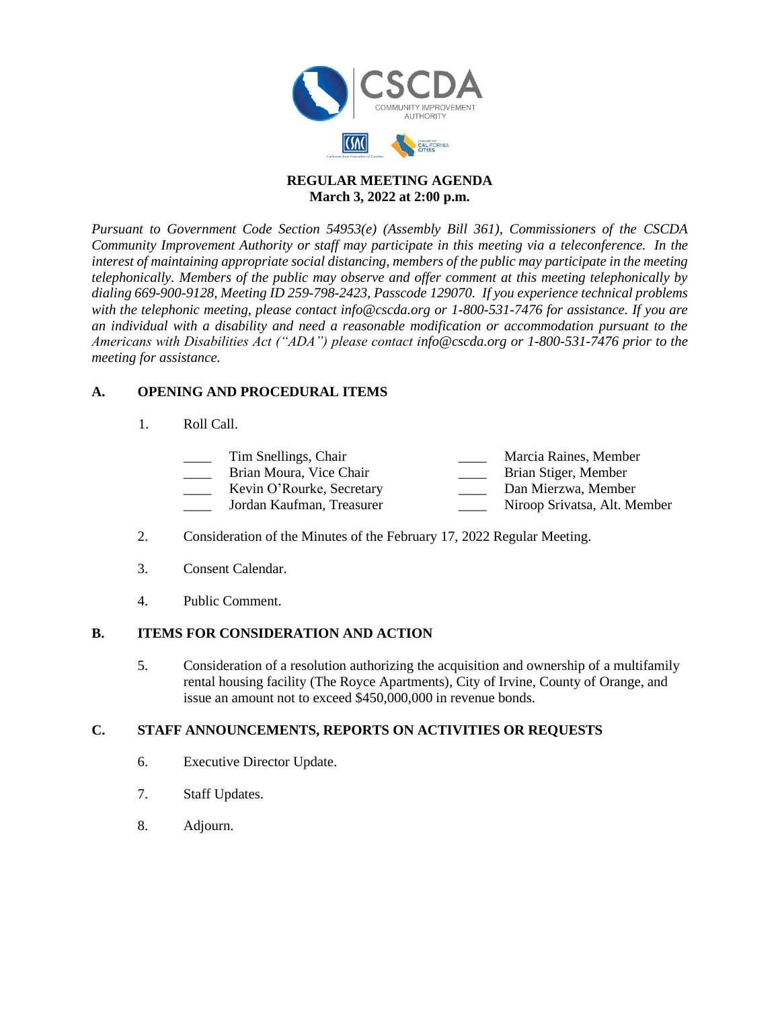

#### **REGULAR MEETING AGENDA March 3, 2022 at 2:00 p.m.**

*Pursuant to Government Code Section 54953(e) (Assembly Bill 361), Commissioners of the CSCDA Community Improvement Authority or staff may participate in this meeting via a teleconference. In the interest of maintaining appropriate social distancing, members of the public may participate in the meeting telephonically. Members of the public may observe and offer comment at this meeting telephonically by dialing 669-900-9128, Meeting ID 259-798-2423, Passcode 129070. If you experience technical problems with the telephonic meeting, please contact info@cscda.org or 1-800-531-7476 for assistance. If you are an individual with a disability and need a reasonable modification or accommodation pursuant to the Americans with Disabilities Act ("ADA") please contact info@cscda.org or 1-800-531-7476 prior to the meeting for assistance.*

## **A. OPENING AND PROCEDURAL ITEMS**

1. Roll Call.

| Tim Snellings, Chair      | Marcia Raines, Member        |
|---------------------------|------------------------------|
| Brian Moura, Vice Chair   | Brian Stiger, Member         |
| Kevin O'Rourke, Secretary | Dan Mierzwa, Member          |
| Jordan Kaufman, Treasurer | Niroop Srivatsa, Alt. Member |

- 2. Consideration of the Minutes of the February 17, 2022 Regular Meeting.
- 3. Consent Calendar.
- 4. Public Comment.

## **B. ITEMS FOR CONSIDERATION AND ACTION**

5. Consideration of a resolution authorizing the acquisition and ownership of a multifamily rental housing facility (The Royce Apartments), City of Irvine, County of Orange, and issue an amount not to exceed \$450,000,000 in revenue bonds.

#### **C. STAFF ANNOUNCEMENTS, REPORTS ON ACTIVITIES OR REQUESTS**

- 6. Executive Director Update.
- 7. Staff Updates.
- 8. Adjourn.